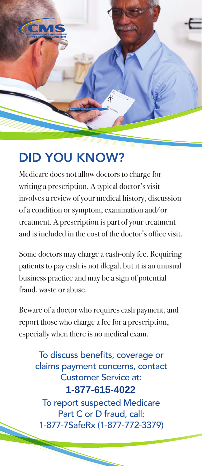

## DID YOU KNOW?

Medicare does not allow doctors to charge for writing a prescription. A typical doctor's visit involves a review of your medical history, discussion of a condition or symptom, examination and/or treatment. A prescription is part of your treatment and is included in the cost of the doctor's office visit.

Some doctors may charge a cash-only fee. Requiring patients to pay cash is not illegal, but it is an unusual business practice and may be a sign of potential fraud, waste or abuse.

Beware of a doctor who requires cash payment, and report those who charge a fee for a prescription, especially when there is no medical exam.

To discuss benefits, coverage or claims payment concerns, contact Customer Service at: To report suspected Medicare Part C or D fraud, call: 1-877-7SafeRx (1-877-772-3379) **1-877-615-4022**